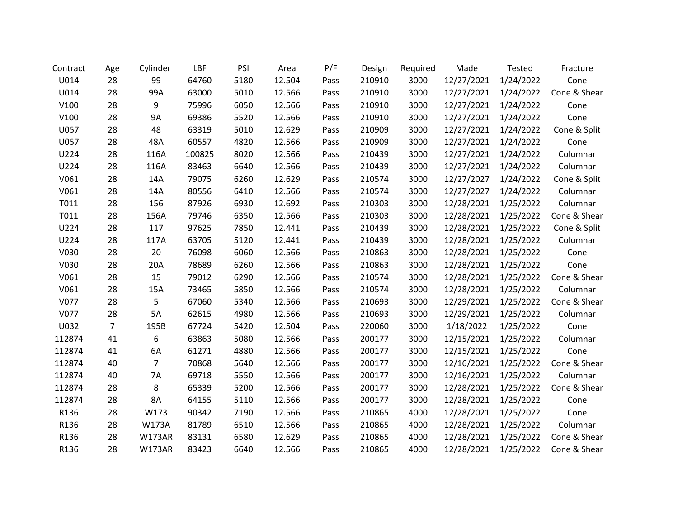| Contract | Age            | Cylinder       | LBF    | PSI  | Area   | P/F  | Design | Required | Made       | Tested    | Fracture     |
|----------|----------------|----------------|--------|------|--------|------|--------|----------|------------|-----------|--------------|
| U014     | 28             | 99             | 64760  | 5180 | 12.504 | Pass | 210910 | 3000     | 12/27/2021 | 1/24/2022 | Cone         |
| U014     | 28             | 99A            | 63000  | 5010 | 12.566 | Pass | 210910 | 3000     | 12/27/2021 | 1/24/2022 | Cone & Shear |
| V100     | 28             | 9              | 75996  | 6050 | 12.566 | Pass | 210910 | 3000     | 12/27/2021 | 1/24/2022 | Cone         |
| V100     | 28             | <b>9A</b>      | 69386  | 5520 | 12.566 | Pass | 210910 | 3000     | 12/27/2021 | 1/24/2022 | Cone         |
| U057     | 28             | 48             | 63319  | 5010 | 12.629 | Pass | 210909 | 3000     | 12/27/2021 | 1/24/2022 | Cone & Split |
| U057     | 28             | 48A            | 60557  | 4820 | 12.566 | Pass | 210909 | 3000     | 12/27/2021 | 1/24/2022 | Cone         |
| U224     | 28             | 116A           | 100825 | 8020 | 12.566 | Pass | 210439 | 3000     | 12/27/2021 | 1/24/2022 | Columnar     |
| U224     | 28             | 116A           | 83463  | 6640 | 12.566 | Pass | 210439 | 3000     | 12/27/2021 | 1/24/2022 | Columnar     |
| V061     | 28             | 14A            | 79075  | 6260 | 12.629 | Pass | 210574 | 3000     | 12/27/2027 | 1/24/2022 | Cone & Split |
| V061     | 28             | 14A            | 80556  | 6410 | 12.566 | Pass | 210574 | 3000     | 12/27/2027 | 1/24/2022 | Columnar     |
| T011     | 28             | 156            | 87926  | 6930 | 12.692 | Pass | 210303 | 3000     | 12/28/2021 | 1/25/2022 | Columnar     |
| T011     | 28             | 156A           | 79746  | 6350 | 12.566 | Pass | 210303 | 3000     | 12/28/2021 | 1/25/2022 | Cone & Shear |
| U224     | 28             | 117            | 97625  | 7850 | 12.441 | Pass | 210439 | 3000     | 12/28/2021 | 1/25/2022 | Cone & Split |
| U224     | 28             | 117A           | 63705  | 5120 | 12.441 | Pass | 210439 | 3000     | 12/28/2021 | 1/25/2022 | Columnar     |
| V030     | 28             | 20             | 76098  | 6060 | 12.566 | Pass | 210863 | 3000     | 12/28/2021 | 1/25/2022 | Cone         |
| V030     | 28             | 20A            | 78689  | 6260 | 12.566 | Pass | 210863 | 3000     | 12/28/2021 | 1/25/2022 | Cone         |
| V061     | 28             | 15             | 79012  | 6290 | 12.566 | Pass | 210574 | 3000     | 12/28/2021 | 1/25/2022 | Cone & Shear |
| V061     | 28             | 15A            | 73465  | 5850 | 12.566 | Pass | 210574 | 3000     | 12/28/2021 | 1/25/2022 | Columnar     |
| V077     | 28             | 5              | 67060  | 5340 | 12.566 | Pass | 210693 | 3000     | 12/29/2021 | 1/25/2022 | Cone & Shear |
| V077     | 28             | 5A             | 62615  | 4980 | 12.566 | Pass | 210693 | 3000     | 12/29/2021 | 1/25/2022 | Columnar     |
| U032     | $\overline{7}$ | 195B           | 67724  | 5420 | 12.504 | Pass | 220060 | 3000     | 1/18/2022  | 1/25/2022 | Cone         |
| 112874   | 41             | 6              | 63863  | 5080 | 12.566 | Pass | 200177 | 3000     | 12/15/2021 | 1/25/2022 | Columnar     |
| 112874   | 41             | 6A             | 61271  | 4880 | 12.566 | Pass | 200177 | 3000     | 12/15/2021 | 1/25/2022 | Cone         |
| 112874   | 40             | $\overline{7}$ | 70868  | 5640 | 12.566 | Pass | 200177 | 3000     | 12/16/2021 | 1/25/2022 | Cone & Shear |
| 112874   | 40             | 7A             | 69718  | 5550 | 12.566 | Pass | 200177 | 3000     | 12/16/2021 | 1/25/2022 | Columnar     |
| 112874   | 28             | 8              | 65339  | 5200 | 12.566 | Pass | 200177 | 3000     | 12/28/2021 | 1/25/2022 | Cone & Shear |
| 112874   | 28             | 8A             | 64155  | 5110 | 12.566 | Pass | 200177 | 3000     | 12/28/2021 | 1/25/2022 | Cone         |
| R136     | 28             | W173           | 90342  | 7190 | 12.566 | Pass | 210865 | 4000     | 12/28/2021 | 1/25/2022 | Cone         |
| R136     | 28             | W173A          | 81789  | 6510 | 12.566 | Pass | 210865 | 4000     | 12/28/2021 | 1/25/2022 | Columnar     |
| R136     | 28             | <b>W173AR</b>  | 83131  | 6580 | 12.629 | Pass | 210865 | 4000     | 12/28/2021 | 1/25/2022 | Cone & Shear |
| R136     | 28             | <b>W173AR</b>  | 83423  | 6640 | 12.566 | Pass | 210865 | 4000     | 12/28/2021 | 1/25/2022 | Cone & Shear |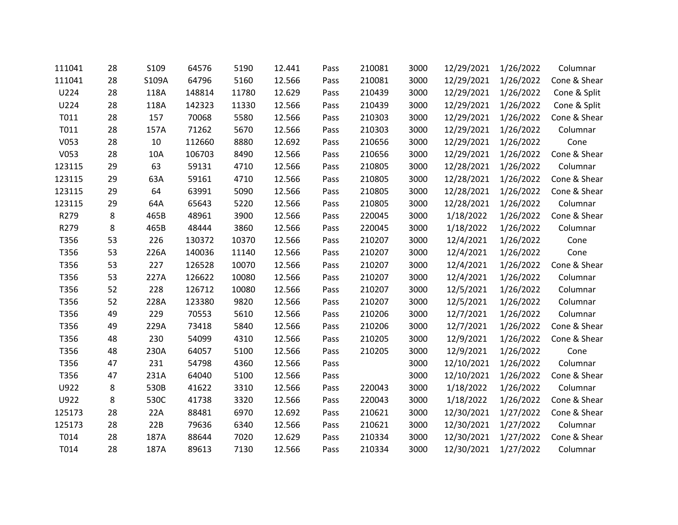| 111041 | 28 | S109  | 64576  | 5190  | 12.441 | Pass | 210081 | 3000 | 12/29/2021 | 1/26/2022 | Columnar     |
|--------|----|-------|--------|-------|--------|------|--------|------|------------|-----------|--------------|
| 111041 | 28 | S109A | 64796  | 5160  | 12.566 | Pass | 210081 | 3000 | 12/29/2021 | 1/26/2022 | Cone & Shear |
| U224   | 28 | 118A  | 148814 | 11780 | 12.629 | Pass | 210439 | 3000 | 12/29/2021 | 1/26/2022 | Cone & Split |
| U224   | 28 | 118A  | 142323 | 11330 | 12.566 | Pass | 210439 | 3000 | 12/29/2021 | 1/26/2022 | Cone & Split |
| T011   | 28 | 157   | 70068  | 5580  | 12.566 | Pass | 210303 | 3000 | 12/29/2021 | 1/26/2022 | Cone & Shear |
| T011   | 28 | 157A  | 71262  | 5670  | 12.566 | Pass | 210303 | 3000 | 12/29/2021 | 1/26/2022 | Columnar     |
| V053   | 28 | 10    | 112660 | 8880  | 12.692 | Pass | 210656 | 3000 | 12/29/2021 | 1/26/2022 | Cone         |
| V053   | 28 | 10A   | 106703 | 8490  | 12.566 | Pass | 210656 | 3000 | 12/29/2021 | 1/26/2022 | Cone & Shear |
| 123115 | 29 | 63    | 59131  | 4710  | 12.566 | Pass | 210805 | 3000 | 12/28/2021 | 1/26/2022 | Columnar     |
| 123115 | 29 | 63A   | 59161  | 4710  | 12.566 | Pass | 210805 | 3000 | 12/28/2021 | 1/26/2022 | Cone & Shear |
| 123115 | 29 | 64    | 63991  | 5090  | 12.566 | Pass | 210805 | 3000 | 12/28/2021 | 1/26/2022 | Cone & Shear |
| 123115 | 29 | 64A   | 65643  | 5220  | 12.566 | Pass | 210805 | 3000 | 12/28/2021 | 1/26/2022 | Columnar     |
| R279   | 8  | 465B  | 48961  | 3900  | 12.566 | Pass | 220045 | 3000 | 1/18/2022  | 1/26/2022 | Cone & Shear |
| R279   | 8  | 465B  | 48444  | 3860  | 12.566 | Pass | 220045 | 3000 | 1/18/2022  | 1/26/2022 | Columnar     |
| T356   | 53 | 226   | 130372 | 10370 | 12.566 | Pass | 210207 | 3000 | 12/4/2021  | 1/26/2022 | Cone         |
| T356   | 53 | 226A  | 140036 | 11140 | 12.566 | Pass | 210207 | 3000 | 12/4/2021  | 1/26/2022 | Cone         |
| T356   | 53 | 227   | 126528 | 10070 | 12.566 | Pass | 210207 | 3000 | 12/4/2021  | 1/26/2022 | Cone & Shear |
| T356   | 53 | 227A  | 126622 | 10080 | 12.566 | Pass | 210207 | 3000 | 12/4/2021  | 1/26/2022 | Columnar     |
| T356   | 52 | 228   | 126712 | 10080 | 12.566 | Pass | 210207 | 3000 | 12/5/2021  | 1/26/2022 | Columnar     |
| T356   | 52 | 228A  | 123380 | 9820  | 12.566 | Pass | 210207 | 3000 | 12/5/2021  | 1/26/2022 | Columnar     |
| T356   | 49 | 229   | 70553  | 5610  | 12.566 | Pass | 210206 | 3000 | 12/7/2021  | 1/26/2022 | Columnar     |
| T356   | 49 | 229A  | 73418  | 5840  | 12.566 | Pass | 210206 | 3000 | 12/7/2021  | 1/26/2022 | Cone & Shear |
| T356   | 48 | 230   | 54099  | 4310  | 12.566 | Pass | 210205 | 3000 | 12/9/2021  | 1/26/2022 | Cone & Shear |
| T356   | 48 | 230A  | 64057  | 5100  | 12.566 | Pass | 210205 | 3000 | 12/9/2021  | 1/26/2022 | Cone         |
| T356   | 47 | 231   | 54798  | 4360  | 12.566 | Pass |        | 3000 | 12/10/2021 | 1/26/2022 | Columnar     |
| T356   | 47 | 231A  | 64040  | 5100  | 12.566 | Pass |        | 3000 | 12/10/2021 | 1/26/2022 | Cone & Shear |
| U922   | 8  | 530B  | 41622  | 3310  | 12.566 | Pass | 220043 | 3000 | 1/18/2022  | 1/26/2022 | Columnar     |
| U922   | 8  | 530C  | 41738  | 3320  | 12.566 | Pass | 220043 | 3000 | 1/18/2022  | 1/26/2022 | Cone & Shear |
| 125173 | 28 | 22A   | 88481  | 6970  | 12.692 | Pass | 210621 | 3000 | 12/30/2021 | 1/27/2022 | Cone & Shear |
| 125173 | 28 | 22B   | 79636  | 6340  | 12.566 | Pass | 210621 | 3000 | 12/30/2021 | 1/27/2022 | Columnar     |
| T014   | 28 | 187A  | 88644  | 7020  | 12.629 | Pass | 210334 | 3000 | 12/30/2021 | 1/27/2022 | Cone & Shear |
| T014   | 28 | 187A  | 89613  | 7130  | 12.566 | Pass | 210334 | 3000 | 12/30/2021 | 1/27/2022 | Columnar     |